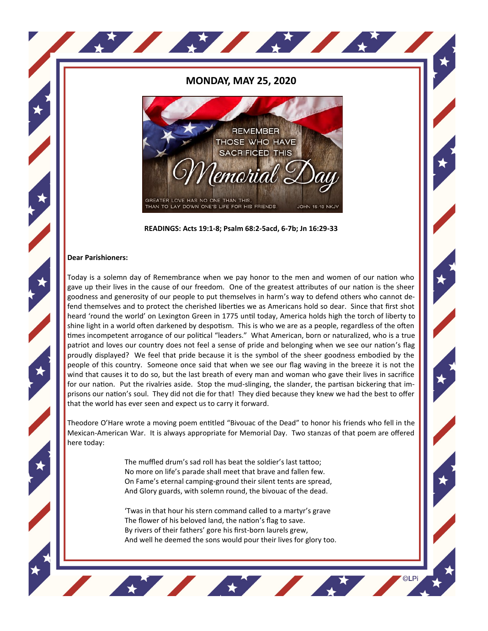## **MONDAY, MAY 25, 2020**

A MARIO A MARIO





## **Dear Parishioners:**

Today is a solemn day of Remembrance when we pay honor to the men and women of our nation who gave up their lives in the cause of our freedom. One of the greatest attributes of our nation is the sheer goodness and generosity of our people to put themselves in harm's way to defend others who cannot defend themselves and to protect the cherished liberties we as Americans hold so dear. Since that first shot heard 'round the world' on Lexington Green in 1775 until today, America holds high the torch of liberty to shine light in a world often darkened by despotism. This is who we are as a people, regardless of the often times incompetent arrogance of our political "leaders." What American, born or naturalized, who is a true patriot and loves our country does not feel a sense of pride and belonging when we see our nation's flag proudly displayed? We feel that pride because it is the symbol of the sheer goodness embodied by the people of this country. Someone once said that when we see our flag waving in the breeze it is not the wind that causes it to do so, but the last breath of every man and woman who gave their lives in sacrifice for our nation. Put the rivalries aside. Stop the mud-slinging, the slander, the partisan bickering that imprisons our nation's soul. They did not die for that! They died because they knew we had the best to offer that the world has ever seen and expect us to carry it forward.

Theodore O'Hare wrote a moving poem entitled "Bivouac of the Dead" to honor his friends who fell in the Mexican-American War. It is always appropriate for Memorial Day. Two stanzas of that poem are offered here today:

> The muffled drum's sad roll has beat the soldier's last tattoo; No more on life's parade shall meet that brave and fallen few. On Fame's eternal camping-ground their silent tents are spread, And Glory guards, with solemn round, the bivouac of the dead.

'Twas in that hour his stern command called to a martyr's grave The flower of his beloved land, the nation's flag to save. By rivers of their fathers' gore his first-born laurels grew, And well he deemed the sons would pour their lives for glory too.

**AVION AVION**